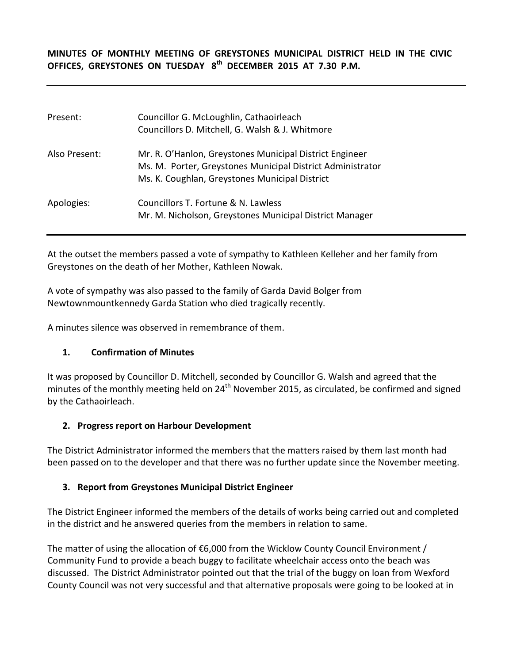**MINUTES OF MONTHLY MEETING OF GREYSTONES MUNICIPAL DISTRICT HELD IN THE CIVIC OFFICES, GREYSTONES ON TUESDAY 8th DECEMBER 2015 AT 7.30 P.M.**

| Present:      | Councillor G. McLoughlin, Cathaoirleach<br>Councillors D. Mitchell, G. Walsh & J. Whitmore                                                                              |
|---------------|-------------------------------------------------------------------------------------------------------------------------------------------------------------------------|
| Also Present: | Mr. R. O'Hanlon, Greystones Municipal District Engineer<br>Ms. M. Porter, Greystones Municipal District Administrator<br>Ms. K. Coughlan, Greystones Municipal District |
| Apologies:    | Councillors T. Fortune & N. Lawless<br>Mr. M. Nicholson, Greystones Municipal District Manager                                                                          |

At the outset the members passed a vote of sympathy to Kathleen Kelleher and her family from Greystones on the death of her Mother, Kathleen Nowak.

A vote of sympathy was also passed to the family of Garda David Bolger from Newtownmountkennedy Garda Station who died tragically recently.

A minutes silence was observed in remembrance of them.

## **1. Confirmation of Minutes**

It was proposed by Councillor D. Mitchell, seconded by Councillor G. Walsh and agreed that the minutes of the monthly meeting held on  $24<sup>th</sup>$  November 2015, as circulated, be confirmed and signed by the Cathaoirleach.

## **2. Progress report on Harbour Development**

The District Administrator informed the members that the matters raised by them last month had been passed on to the developer and that there was no further update since the November meeting.

## **3. Report from Greystones Municipal District Engineer**

The District Engineer informed the members of the details of works being carried out and completed in the district and he answered queries from the members in relation to same.

The matter of using the allocation of  $$6,000$  from the Wicklow County Council Environment / Community Fund to provide a beach buggy to facilitate wheelchair access onto the beach was discussed. The District Administrator pointed out that the trial of the buggy on loan from Wexford County Council was not very successful and that alternative proposals were going to be looked at in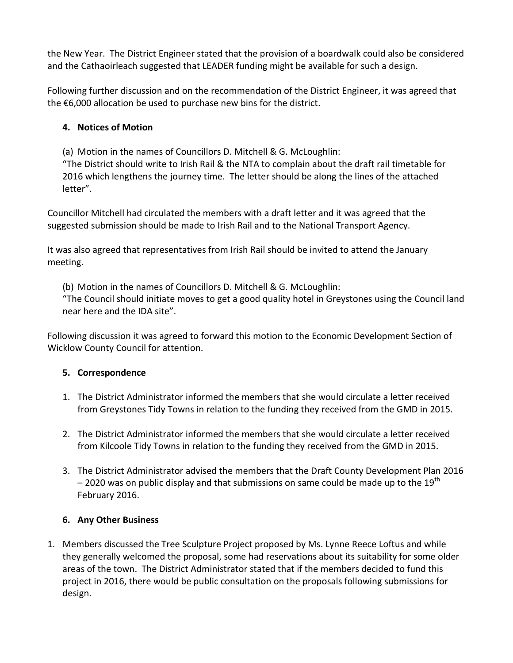the New Year. The District Engineer stated that the provision of a boardwalk could also be considered and the Cathaoirleach suggested that LEADER funding might be available for such a design.

Following further discussion and on the recommendation of the District Engineer, it was agreed that the €6,000 allocation be used to purchase new bins for the district.

# **4. Notices of Motion**

(a) Motion in the names of Councillors D. Mitchell & G. McLoughlin:

"The District should write to Irish Rail & the NTA to complain about the draft rail timetable for 2016 which lengthens the journey time. The letter should be along the lines of the attached letter".

Councillor Mitchell had circulated the members with a draft letter and it was agreed that the suggested submission should be made to Irish Rail and to the National Transport Agency.

It was also agreed that representatives from Irish Rail should be invited to attend the January meeting.

(b) Motion in the names of Councillors D. Mitchell & G. McLoughlin:

"The Council should initiate moves to get a good quality hotel in Greystones using the Council land near here and the IDA site".

Following discussion it was agreed to forward this motion to the Economic Development Section of Wicklow County Council for attention.

# **5. Correspondence**

- 1. The District Administrator informed the members that she would circulate a letter received from Greystones Tidy Towns in relation to the funding they received from the GMD in 2015.
- 2. The District Administrator informed the members that she would circulate a letter received from Kilcoole Tidy Towns in relation to the funding they received from the GMD in 2015.
- 3. The District Administrator advised the members that the Draft County Development Plan 2016  $-$  2020 was on public display and that submissions on same could be made up to the 19<sup>th</sup> February 2016.

# **6. Any Other Business**

1. Members discussed the Tree Sculpture Project proposed by Ms. Lynne Reece Loftus and while they generally welcomed the proposal, some had reservations about its suitability for some older areas of the town. The District Administrator stated that if the members decided to fund this project in 2016, there would be public consultation on the proposals following submissions for design.